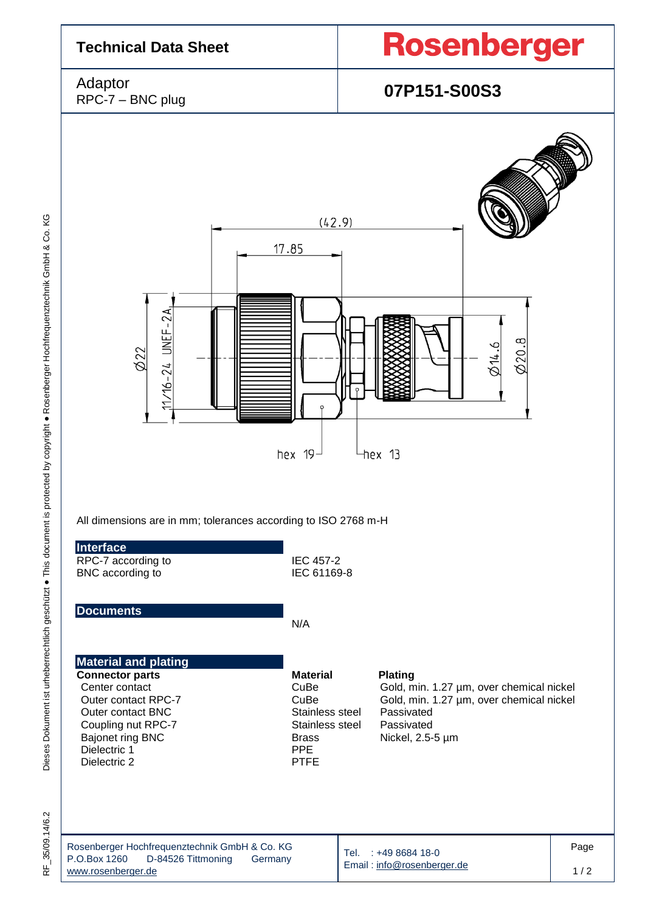